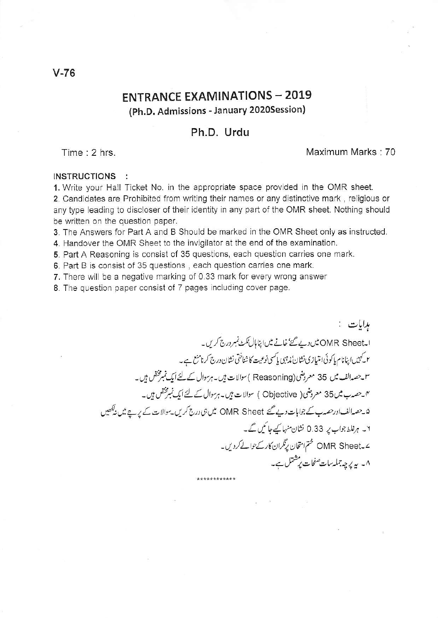## **ENTRANCE EXAMINATIONS - 2019** (Ph.D. Admissions - January 2020Session)

## Ph.D. Urdu

Time: 2 hrs.

## Maximum Marks: 70

## INSTRUCTIONS :

1. Write your Hall Ticket No. in the appropriate space provided in the OMR sheet. 2. Candidates are Prohibited from writing their names or any distinctive mark, religious or any type leading to discloser of their identity in any part of the OMR sheet. Nothing should be written on the question paper.

3. The Answers for Part A and B Should be marked in the OMR Sheet only as instructed.

4. Handover the OMR Sheet to the invigilator at the end of the examination.

5. Part A Reasoning is consist of 35 questions, each question carries one mark.

6. Part B is consist of 35 questions, each question carries one mark.

7. There will be a negative marking of 0.33 mark for every wrong answer

8. The question paper consist of 7 pages including cover page.

ہدایات : ا۔OMR Sheetش دیے گئے' خانے میں اپناہال ٹکٹ نمبر درج کریں۔ ۲ کے پیں اپنانام پاکوئی امتیازی نشان ندمہی پاکسی نوعیت کا شناختی نشان درج کرنامنع ہے۔ سو حصہ الف میں 35 معروضی ( Reasoning )سوالات ہیں۔ہرسوال کے لئے ایک نمبرمختص ہیں۔ ۴۔حصہ ب میں 35 معروضی( Objective ) سوالات ہیں۔ہرسوال کے لئے ایک نمبوختص ہیں۔ ۵۔حصہ الف اورحصہ ب کے جوابات دیے گئے OMR Sheet میں ہی درج کریں۔موالات کے یریے میں نیکھیں ۲۔ ہرغلط جواب پر 0.33 نشان منہا کیےجائیں گے۔ ے۔OMR Sheet ختم امتحان برِنگران کارکےحوالےکردیں۔ ۸۔ پہ پر چہ جملہ سات صفحات پر شتمل ہے۔ \*\*\*\*\*\*\*\*\*\*\*\*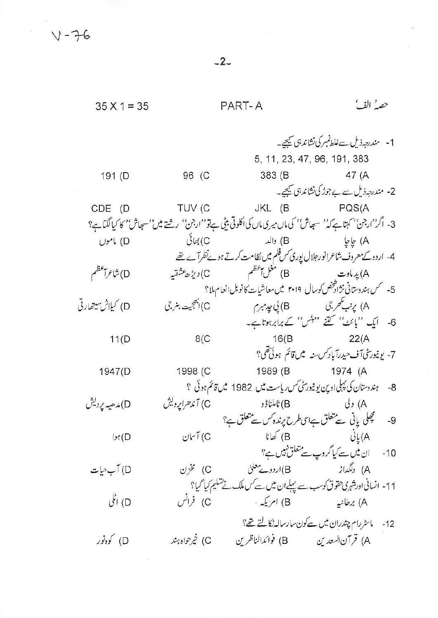$-2-$ 

| $35 X 1 = 35$             |                                                                               | PART-A      | حصهُ الفُ                                                                                                      |
|---------------------------|-------------------------------------------------------------------------------|-------------|----------------------------------------------------------------------------------------------------------------|
|                           |                                                                               |             |                                                                                                                |
|                           |                                                                               |             | 1- مندرجہ ذیل سےغلط نمبر کی نشاند ہی گیجیے۔                                                                    |
|                           |                                                                               |             | 5, 11, 23, 47, 96, 191, 383                                                                                    |
| 191 (D                    | 96 (C                                                                         |             | 383 (B 47 (A                                                                                                   |
|                           |                                                                               |             | 2- مندرجہذیل سے بے جوڑ کی نشاند ہی کیجیے۔                                                                      |
| CDE (D                    | TUV (C                                                                        |             | JKL (B PQS(A                                                                                                   |
|                           |                                                                               |             | 3- اگر''ارجن'' کہتاہے کہ'' سبھاش'' کی ماں میری ماں کی اکلوتی بیٹی ہےتو''ارجن'' رشتے میں''سبھاش' کا کیا لگتاہے؟ |
| D) ماموں                  | کیھائی $(\mathsf{C}% _{\alpha}^{\ast})_{\alpha}=\mathsf{C}_{\alpha}^{\alpha}$ |             | A) طِاطِي (B) والد                                                                                             |
|                           |                                                                               |             | 4- اردوکے معروف شاعرانور جلال پوری س فلم میں نظامت کرتے ہوئےنظر آے تھے                                         |
| D) شاعرال <sup>عظ</sup> م | C) <i>دېژه عشق</i> ېه                                                         |             |                                                                                                                |
|                           |                                                                               |             | 5- سمس ہندوستانی نژادشخص کوسال ۲۰۱۹ میں معاشیات کا نوبل انعام ملا؟                                             |
| D) كيلاش سيتهارتي         |                                                                               |             | A) پرنب گھر جی (B) پی چید میرم (C) ایکجیت بنر جی                                                               |
|                           |                                                                               |             | 6- ایک ''بائٹ'' کتنے 'مہش'' کے برابرہوتاہے۔                                                                    |
| 11(D)                     | 8(C)                                                                          |             | $16(B$ 22(A                                                                                                    |
|                           |                                                                               |             | 7- يونيورسٹی آف حيدرآباد ڪس پيش قائم ہوئی تھی؟                                                                 |
| 1947(D                    | 1998 (C                                                                       |             | 1989 (B 1974 (A                                                                                                |
|                           |                                                                               |             | 8- ہندوستان کی پہلی اوپن یو نیورسٹی کس ریاست میں 1982 میں قائم ہوئی ؟                                          |
| D) مدھیہ پردیش            | C) آندھراپردیش                                                                |             |                                                                                                                |
|                           |                                                                               |             | 9- مستحیلی پانی سے متعلق ہےاسی طرح پرندہ کس سے متعلق ہے؟                                                       |
| ا ہوا $($                 | C) آسان                                                                       | B) كھانا    | $U_{L}(A)$                                                                                                     |
|                           |                                                                               |             | 10- ان میں سے کیا گروپ سے متعلق نہیں ہے؟                                                                       |
| D) آب حیات                | C) مخزن                                                                       |             | A) دلگداز B)اردوے معلیٰ                                                                                        |
|                           |                                                                               |             | 11- انسانی اور شہری حقوق کوسب سے پہلے ان میں سے کس ملک نے تشکیم کیا گیا؟                                       |
| D) اڻلي                   | C) فرانس                                                                      | B) امریکه ۰ | A) برطانيه                                                                                                     |
|                           |                                                                               |             | 12- ماسٹررام چندران میں سے کون سارسالہ نکالتے تھ؟                                                              |
| D) کوه نور                | C) خیرحواه ہند                                                                |             |                                                                                                                |
|                           |                                                                               |             |                                                                                                                |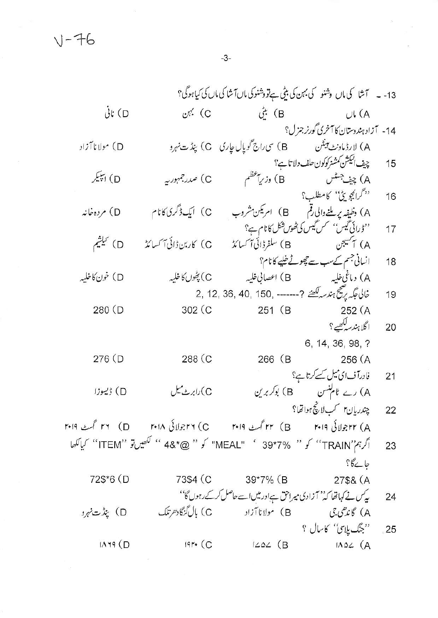$1 - 76$ 

13- ۔ آشا کی ماں پشنو کی بہن کی بیٹی ہےتو دشنوکی ماں آشا کی ماں کی کیاہوگی؟  $\mathcal{L}^{\star}$  (B C) بہن  $\dot{\mathcal{C}}$ تانی  $UL(A)$ 14- آزاد ہندوستان کا آخری گورنر جزل؟ D) مولانا آزاد چیف الیکشن کمشنر کوکون حلف دلاتا ہے؟ 15 C) صدر جہور ہے A) چيف<sup>جسٹس</sup><br>''گرانچوی<sup>عیٰ'</sup>' کامطلب؟ .<br>B) وزرياعظم D) ایپیکر 16 A) وظیفہ پر ملنے والی رقم ہے (B) امریکن مشروب ہے (C) ایک ڈگری کانا م D) مرده خانه ''ڈرائی ٹیس'' کس کیس کی ٹھوں شکل کانام ہے؟<br>A) ایکسیجن (B) سلفرڈائی آکسائڈ (C) کاربن ڈائی آکسائڈ (D) کیلشم 17 انسانی جسم کےسب سے چھوٹے خلیے کا نام؟ 18 D) خون کاخلیہ غالى تېگىر يەشىج ہندسەتىھىنىم ?------- , 2, 12, 36, 40, 150 19 302 (C 280 (D 251 (B 252 (A ا گلاہندسہ کھیے ؟ 20 6, 14, 36, 98, ? 276 (D 288 (C 266 (B 256 (A فادرآف ای میل سے کرتا ہے؟  $21$ A) رے ٹام<sup>لنس</sup>ن B) بوکر برین C)رابرٹ میل D) ڈییوزا چندربان۲ کپلانچ ہواتھا؟  $22$ ۳۴ (A تیرلائی ۳۰۱۹ – ۲۵ ) ۳۰۱۹ – ۲۰۱۵ – ۲۵ ) ۳۶ اسٹ ۲۰۱۹ – ۲۰۱۵ تمت ۲۰۱۹ اگر ہم''TRAIN'' کو '' S9\*7% '' ITEM'' کو '' @\*48 '' <sup>کاھی</sup>ں تو ''ITEM'' کیالکھا 23 جائےگا؟ 72\$\*6 (D 39\*7% (B 73\$4 (C 27\$& (A یک نے کہاتھا کہ'' آزادی میراحق ہے اور میں اسے حاصل کرکے رہوں گا'' 24 A) گاندهی.تی ها) مولانا آزاد (C) بال گنگادهرتلک D) بیڈت *نہ*و ''جنگ یلای'' کاسال ؟ -25

 $19r \cdot (C)$  $IAY9$  (D  $1202$  (B  $I\Lambda \omega L$   $(A$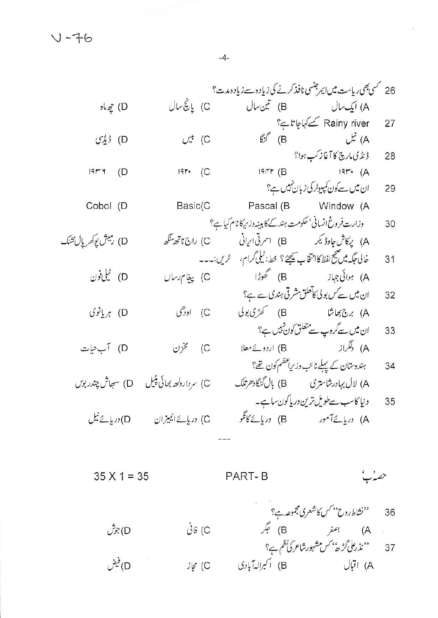26 گسی بھی ریاست میں ایمرجنسی نافذ کرنے کی زیادہ سے زیادہ مدت؟ C) پانچٔسال A) ایک سال B) تین سال obe  $\mathscr{E}$  (D Rainy river کے کہاجا تاہ؟ 27  $E^f$  (B  $\qquad \qquad$   $\qquad$   $\qquad$   $\qquad$   $\qquad$   $\qquad$   $\qquad$   $\qquad$   $\qquad$   $\qquad$   $\qquad$   $\qquad$   $\qquad$   $\qquad$   $\qquad$   $\qquad$   $\qquad$   $\qquad$   $\qquad$   $\qquad$   $\qquad$   $\qquad$   $\qquad$   $\qquad$   $\qquad$   $\qquad$   $\qquad$   $\qquad$   $\qquad$   $\qquad$   $\qquad$   $\qquad$   $\qquad$   $\qquad$   $\qquad$ C) بين D) ڈیڈی ڈیڈ کی مارچ کا آغاز کپ ہوا؟ 28  $19r$  (A  $19r$  (C  $19rr(B)$  $19M + D$ ان میں سےکون کمپیوٹر کی زبان نہیں ہے؟ 29 Pascal (B Window (A Basic(C Cobol (D وزارت فروغ انسانی' حکومت ہند کے کا بینہ وزیر کا نام کیا ہے؟ 30 D) رميش يوكريال تشك خالي عَكِيه مِين صِحيحِ لفظ كانتخاب سِيحِيَن؟ خط: ٹیلي گرام، گریں:۔۔۔  $31$ ان میں سے س بولی کاتعلق مشرقی ہندی سے ہے؟ 32 D) بريانوي ان میں سےگروپ سے متعلق کون نہیں ہے؟ 33 A) دلگراز (B) اردوئے معلا (C) مخزن<br>ہندوستان کے پہلے نائب وزیراعظم کون تھے؟ D) آب<یات 34 A) لال بہادرشاستری B) بال گنگا دھرتلک C) سردار دلھ بھائی پٹیل D) سھاش چندر ہوں دنیا کاسب سےطویل ترین دریا کون ساہے۔ 35 

 $35 X 1 = 35$ **PART-B** 36 ''نشاط روح'' کس کاشعری مجموعہ ہے؟<br>A (A اصغر B) جگر (B<br>نندر علی گڑھ' کس مشہور شاعر کی نظم ہے؟ D) جوش D)فيفن C) مجاز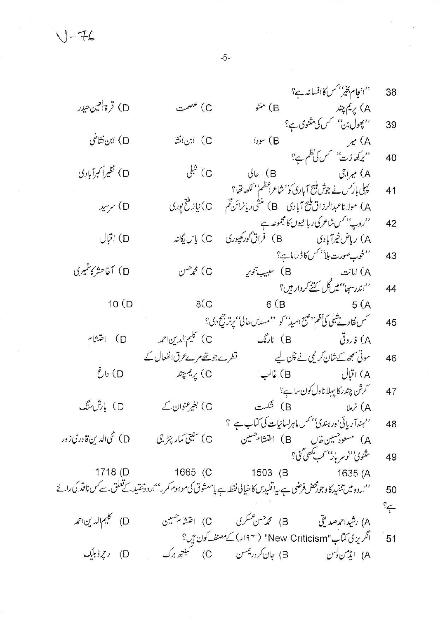$1 - 76$ 

''انجام بخير'' *کس کا*افسانه ہے؟ 38 D) قرةالعين حيدر A) پریم چند<br>''پھول بن'' کس) مثنوی ہے؟ C) عصمت B) منڻو 39 D) ابن نشاطی C) ابن انشا (B) سودا A) میر<br>''برکھارُت'' کس کی نظم ہے؟ 40 C) شلی D) نظیرا کبرآبادی  $J\triangleright$  (B A) میراجی یہلی بار*کس نے جوش ملیح* آبادی ک<sup>وم</sup>شاعراعظم<sup>ی م</sup> ککھاتھا؟ 41 A) مولاناعبدالرزاق پنج آبادی B) منشی دیانرائنگم C) نیاز فتح پوری D) سرسید ''روپ'' کس شاعر کی ر باعیوں کا مجموعہ ہے<br>A) ریاض خیرآبادی (B 42 C) پاس\یگانه D) اقبال ''خوب صورت بلا<sup>'' کس</sup> کا ڈراماہے؟ 43 D) آغاحشركاشمىرى B) حبيب تنوي<sub>ر</sub> C) مجم<sup>ص</sup>ن A) امانت ''اندرسھا''میںگل کتنے کردار ہیں؟ 44  $10(D)$  $8(C)$  $6(B)$  $5(A)$ حمس نقادتے شبلی کی نظم ''صبح امیڈ'' کو ''مسدس حالیٰ'' پرتر جیح دی؟ 45 .<br>A) فاروقی (B) نارنگ C) كليم الدين احمه D) اختثام قطرے جو تھے مرے عرق انفعال کے موتی سمجھ کےشان کر یمی نے چن لیے 46 C) يريم چند D) داغ A) اقبال B) غالب کرش چندر کا پہلا ناول کون ساہ<sup>2</sup>؟ 47 D) بارش سنگ .<br>B) شمست C) بغیرعنوان کے  $\mu$   $\lambda$   $(A)$ 'مہندآریائی اور ہندی'' س ماہرلسانیات کی کتاب ہے ؟ 48 D) محی الدین قادری زور C) سنیټي کمار چیز جي A) مسعود حسین خان B) اختشام هسین مثنوی<sup>، د</sup>نوسر بار<sup>یس</sup>ب کصی گ<sup>ی</sup>؟ 49 1665 (C 1718 (D 1503 (B 1635 (A ''اردومیں تنقید کاوجودمحض فرضی ہے پیاقلیدس کا خیالی نقطہ ہے یامعشو ق کی موہوم کمر۔''اردوننقید کے تعلق سے کس ناقد کی رائے 50  $\approx$ B) محم*دھن عسکر*ی C) اختشام هسین D) كليم الدين احمه A) رشیداحم*دصد*یقی انگریزی کتاب"New Criticism" (۱۹۴۱ء) کے مصنف کون ہیں؟ 51 D) رچرڈبلیک A) ایڈمن ک<sup>یس</sup>

 $-5-$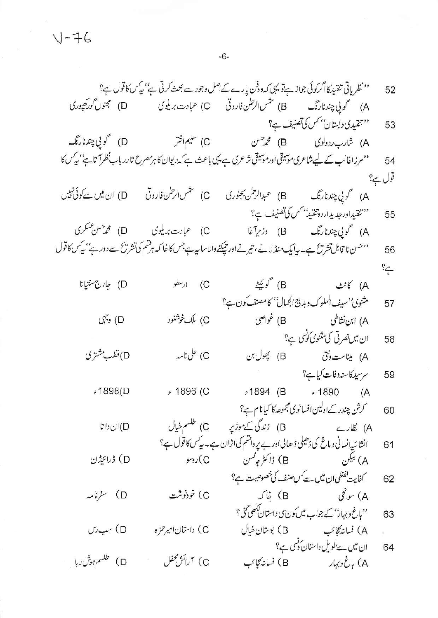|                 | ''نظریاتی تنقید کااگرکوئی جواز ہےتو یہی کہ دہ <sup>ن</sup> ن پارے کےاصل وجود سے بحث کرتی ہے'' بی <sup>ک</sup> کا قول ہے؟  |                                                                                    | 52      |
|-----------------|---------------------------------------------------------------------------------------------------------------------------|------------------------------------------------------------------------------------|---------|
|                 |                                                                                                                           |                                                                                    |         |
|                 |                                                                                                                           |                                                                                    | 53      |
|                 | ''تنقیدی د بستان'' کس کی تصنیف ہے؟<br>A) شارب ردولوی (B) محمدحسن (C) سلیم اختر                                            |                                                                                    |         |
|                 | ''مرزاغالب کے لیے شاعری موسیقی اور موسیقی شاعری ہے یہی باعث ہے کہ دیوان کا ہرمصرع تارر بابنظرا تاہے' کیے ک                |                                                                                    | 54      |
|                 |                                                                                                                           |                                                                                    | قول ہے؟ |
|                 |                                                                                                                           |                                                                                    |         |
|                 |                                                                                                                           |                                                                                    | 55      |
|                 |                                                                                                                           |                                                                                    |         |
|                 | ''حسن نا قابل تشریح ہے۔ بیا یک منڈلا نے ، تیرنے اور حیکنےوالاسا بیہ ہے جس کا خا کہ ہرقسم کی تشریح سے دور ہے'' بیکس کا قول |                                                                                    | 56      |
|                 |                                                                                                                           |                                                                                    | $\cong$ |
| D) جارج سنتيانا | C) ارسطو                                                                                                                  | A) کانٹ B) <i>گویک</i> ٹے                                                          |         |
|                 |                                                                                                                           | مثنوي''سيف الملوك وبديع الجمال'' كامصنف كون ہے؟                                    | 57      |
| D) وجهی         | C) ملک خوشنور                                                                                                             |                                                                                    |         |
|                 |                                                                                                                           | ان میں نصر ٹی کی منتوی کوئسی ہے؟                                                   | 58      |
| D)قطب مشتری     | C) على نامە                                                                                                               | A) میناست ونق (B) پھول بن                                                          |         |
|                 |                                                                                                                           | سرسید کاسنہ وفات کیا ہے؟                                                           | 59      |
| 1898(Dء         | € 1896 (C                                                                                                                 | +1894 (B + 1890 (A                                                                 |         |
|                 |                                                                                                                           | <i>گرش چندر کے ا</i> ولین افسانوی مجموعہ کا کیانا م ہے؟                            | 60      |
| $UU$ ان $(D)$   | C) طلسم خيال                                                                                                              |                                                                                    |         |
|                 |                                                                                                                           | انشا ئىپەنسانى د ماغ كى ڈھیلى ڈ ھالى اور بے پر داقشم كى اڑ ان ہے۔ بیے س كا قول ہے؟ | 61      |
| D) ڈرائیڈن      |                                                                                                                           |                                                                                    |         |
|                 |                                                                                                                           | کفایت گفظی ان میں سے <i>کس صنف کی خصوصی</i> ت ہے؟                                  | 62      |
| D) غرنامہ       | C) خورنوشت                                                                                                                | A) سوائچی (B) خاکہ                                                                 |         |
|                 |                                                                                                                           | ''باغ وبہار'' کے جواب میں کون <sub>کی</sub> داستان <i>لکھی گ</i> ئی؟               | 63      |
| D) سب <i>دل</i> | C) داستان امیر حزه                                                                                                        |                                                                                    |         |
|                 |                                                                                                                           | ان میں سے طویل داستان کوٹسی ہے؟                                                    | 64      |
| D) طلسم ہوش ربا | C) آرائش محفل                                                                                                             |                                                                                    |         |